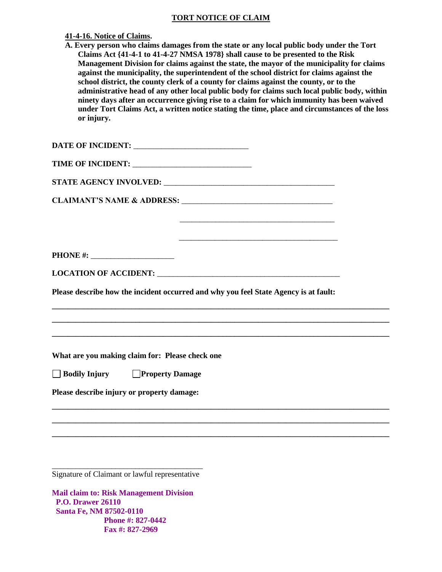## **TORT NOTICE OF CLAIM**

| 41-4-16. Notice of Claims.<br>A. Every person who claims damages from the state or any local public body under the Tort<br>Claims Act {41-4-1 to 41-4-27 NMSA 1978} shall cause to be presented to the Risk<br>Management Division for claims against the state, the mayor of the municipality for claims<br>against the municipality, the superintendent of the school district for claims against the<br>school district, the county clerk of a county for claims against the county, or to the<br>administrative head of any other local public body for claims such local public body, within<br>ninety days after an occurrence giving rise to a claim for which immunity has been waived<br>under Tort Claims Act, a written notice stating the time, place and circumstances of the loss |  |
|-------------------------------------------------------------------------------------------------------------------------------------------------------------------------------------------------------------------------------------------------------------------------------------------------------------------------------------------------------------------------------------------------------------------------------------------------------------------------------------------------------------------------------------------------------------------------------------------------------------------------------------------------------------------------------------------------------------------------------------------------------------------------------------------------|--|
| or injury.                                                                                                                                                                                                                                                                                                                                                                                                                                                                                                                                                                                                                                                                                                                                                                                      |  |
|                                                                                                                                                                                                                                                                                                                                                                                                                                                                                                                                                                                                                                                                                                                                                                                                 |  |
|                                                                                                                                                                                                                                                                                                                                                                                                                                                                                                                                                                                                                                                                                                                                                                                                 |  |
|                                                                                                                                                                                                                                                                                                                                                                                                                                                                                                                                                                                                                                                                                                                                                                                                 |  |
|                                                                                                                                                                                                                                                                                                                                                                                                                                                                                                                                                                                                                                                                                                                                                                                                 |  |
| <u> 1989 - Johann Barn, mars ann an t-Amhain ann an t-Amhain ann an t-Amhain ann an t-Amhain ann an t-Amhain ann a</u>                                                                                                                                                                                                                                                                                                                                                                                                                                                                                                                                                                                                                                                                          |  |
| <b>PHONE #:</b> ______________________                                                                                                                                                                                                                                                                                                                                                                                                                                                                                                                                                                                                                                                                                                                                                          |  |
|                                                                                                                                                                                                                                                                                                                                                                                                                                                                                                                                                                                                                                                                                                                                                                                                 |  |
| Please describe how the incident occurred and why you feel State Agency is at fault:                                                                                                                                                                                                                                                                                                                                                                                                                                                                                                                                                                                                                                                                                                            |  |
|                                                                                                                                                                                                                                                                                                                                                                                                                                                                                                                                                                                                                                                                                                                                                                                                 |  |
|                                                                                                                                                                                                                                                                                                                                                                                                                                                                                                                                                                                                                                                                                                                                                                                                 |  |
| What are you making claim for: Please check one                                                                                                                                                                                                                                                                                                                                                                                                                                                                                                                                                                                                                                                                                                                                                 |  |
| $\Box$ Bodily Injury<br><b>Property Damage</b>                                                                                                                                                                                                                                                                                                                                                                                                                                                                                                                                                                                                                                                                                                                                                  |  |
| Please describe injury or property damage:                                                                                                                                                                                                                                                                                                                                                                                                                                                                                                                                                                                                                                                                                                                                                      |  |
|                                                                                                                                                                                                                                                                                                                                                                                                                                                                                                                                                                                                                                                                                                                                                                                                 |  |
|                                                                                                                                                                                                                                                                                                                                                                                                                                                                                                                                                                                                                                                                                                                                                                                                 |  |

\_\_\_\_\_\_\_\_\_\_\_\_\_\_\_\_\_\_\_\_\_\_\_\_\_\_\_\_\_\_\_\_\_\_\_\_\_\_ Signature of Claimant or lawful representative

**Mail claim to: Risk Management Division P.O. Drawer 26110 Santa Fe, NM 87502-0110 Phone #: 827-0442 Fax #: 827-2969**